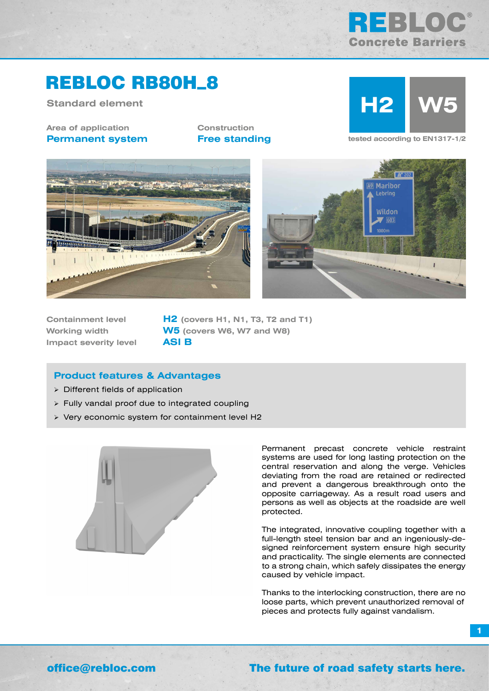

# REBLOC RB80H\_8

**Standard element**

**Area of application Permanent system** **Construction**



**Free standing tested according to EN1317-1/2** 





**Impact severity level ASI B**

**Containment level H2 (covers H1, N1, T3, T2 and T1) Working width W5 (covers W6, W7 and W8)**

## **Product features & Advantages**

- $\triangleright$  Different fields of application
- Fully vandal proof due to integrated coupling
- Very economic system for containment level H2



Permanent precast concrete vehicle restraint systems are used for long lasting protection on the central reservation and along the verge. Vehicles deviating from the road are retained or redirected and prevent a dangerous breakthrough onto the opposite carriageway. As a result road users and persons as well as objects at the roadside are well protected.

The integrated, innovative coupling together with a full-length steel tension bar and an ingeniously-designed reinforcement system ensure high security and practicality. The single elements are connected to a strong chain, which safely dissipates the energy caused by vehicle impact.

Thanks to the interlocking construction, there are no loose parts, which prevent unauthorized removal of pieces and protects fully against vandalism.

**1**